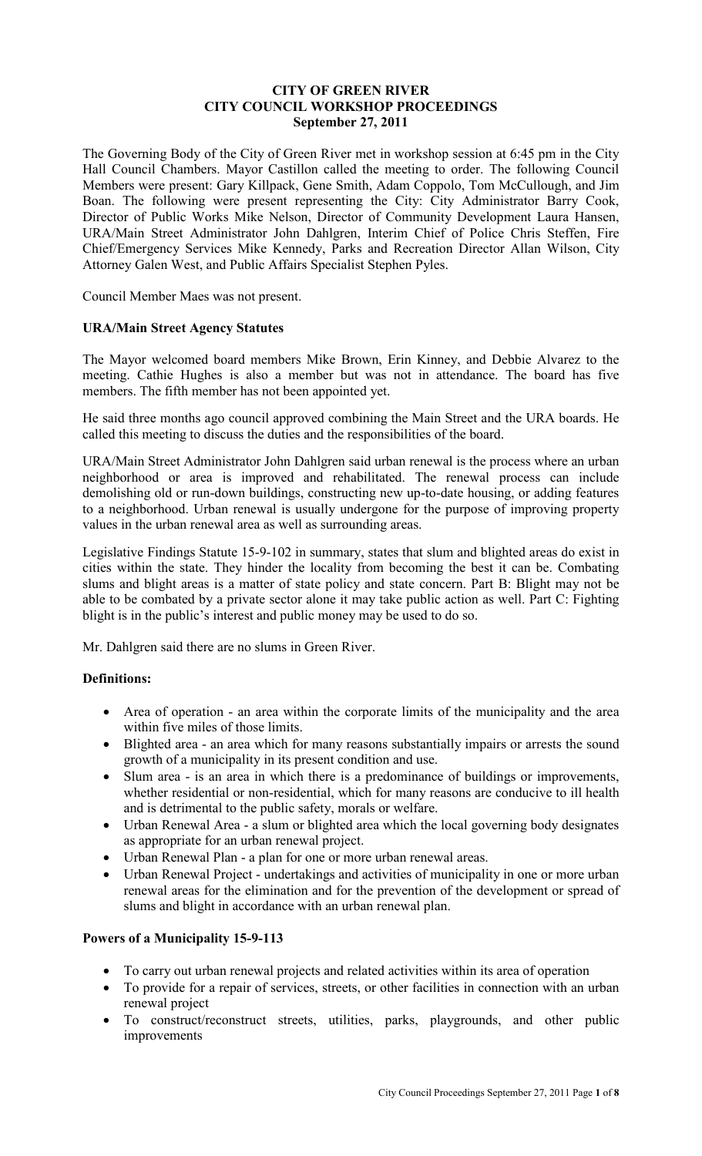### **CITY OF GREEN RIVER CITY COUNCIL WORKSHOP PROCEEDINGS September 27, 2011**

The Governing Body of the City of Green River met in workshop session at 6:45 pm in the City Hall Council Chambers. Mayor Castillon called the meeting to order. The following Council Members were present: Gary Killpack, Gene Smith, Adam Coppolo, Tom McCullough, and Jim Boan. The following were present representing the City: City Administrator Barry Cook, Director of Public Works Mike Nelson, Director of Community Development Laura Hansen, URA/Main Street Administrator John Dahlgren, Interim Chief of Police Chris Steffen, Fire Chief/Emergency Services Mike Kennedy, Parks and Recreation Director Allan Wilson, City Attorney Galen West, and Public Affairs Specialist Stephen Pyles.

Council Member Maes was not present.

### **URA/Main Street Agency Statutes**

The Mayor welcomed board members Mike Brown, Erin Kinney, and Debbie Alvarez to the meeting. Cathie Hughes is also a member but was not in attendance. The board has five members. The fifth member has not been appointed yet.

He said three months ago council approved combining the Main Street and the URA boards. He called this meeting to discuss the duties and the responsibilities of the board.

URA/Main Street Administrator John Dahlgren said urban renewal is the process where an urban neighborhood or area is improved and rehabilitated. The renewal process can include demolishing old or run-down buildings, constructing new up-to-date housing, or adding features to a neighborhood. Urban renewal is usually undergone for the purpose of improving property values in the urban renewal area as well as surrounding areas.

Legislative Findings Statute 15-9-102 in summary, states that slum and blighted areas do exist in cities within the state. They hinder the locality from becoming the best it can be. Combating slums and blight areas is a matter of state policy and state concern. Part B: Blight may not be able to be combated by a private sector alone it may take public action as well. Part C: Fighting blight is in the public's interest and public money may be used to do so.

Mr. Dahlgren said there are no slums in Green River.

### **Definitions:**

- Area of operation an area within the corporate limits of the municipality and the area within five miles of those limits.
- Blighted area an area which for many reasons substantially impairs or arrests the sound growth of a municipality in its present condition and use.
- Slum area is an area in which there is a predominance of buildings or improvements, whether residential or non-residential, which for many reasons are conducive to ill health and is detrimental to the public safety, morals or welfare.
- Urban Renewal Area a slum or blighted area which the local governing body designates as appropriate for an urban renewal project.
- Urban Renewal Plan a plan for one or more urban renewal areas.
- Urban Renewal Project undertakings and activities of municipality in one or more urban renewal areas for the elimination and for the prevention of the development or spread of slums and blight in accordance with an urban renewal plan.

### **Powers of a Municipality 15-9-113**

- To carry out urban renewal projects and related activities within its area of operation
- To provide for a repair of services, streets, or other facilities in connection with an urban renewal project
- To construct/reconstruct streets, utilities, parks, playgrounds, and other public improvements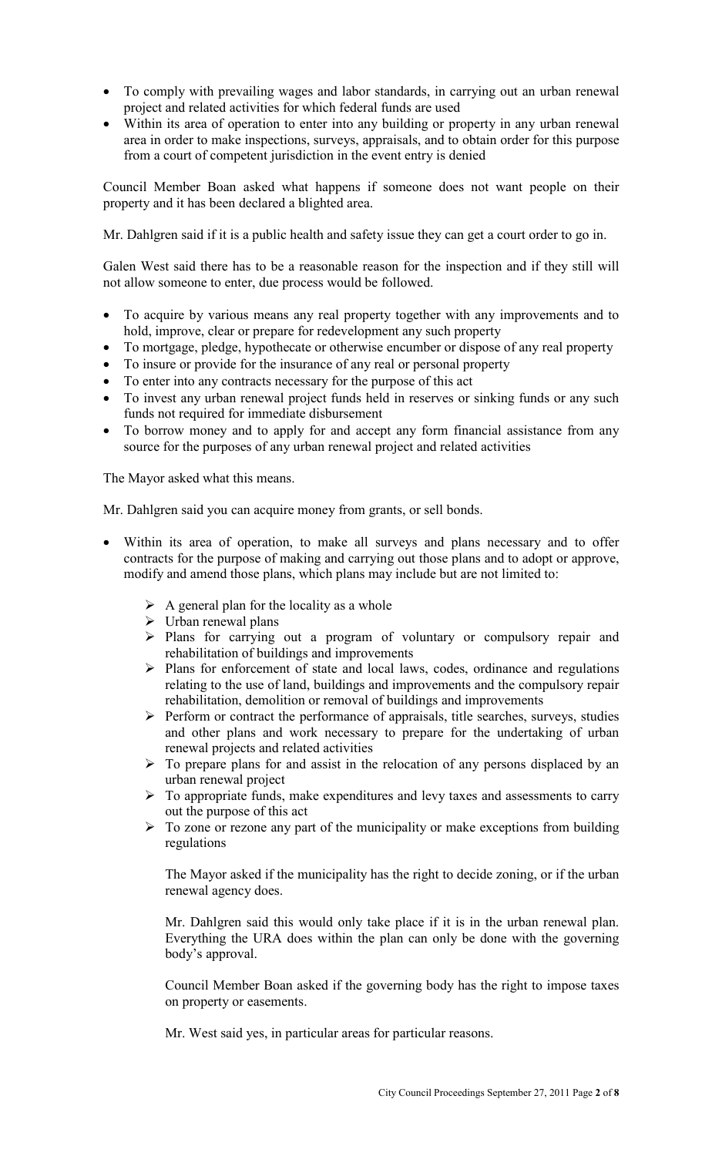- To comply with prevailing wages and labor standards, in carrying out an urban renewal project and related activities for which federal funds are used
- Within its area of operation to enter into any building or property in any urban renewal area in order to make inspections, surveys, appraisals, and to obtain order for this purpose from a court of competent jurisdiction in the event entry is denied

Council Member Boan asked what happens if someone does not want people on their property and it has been declared a blighted area.

Mr. Dahlgren said if it is a public health and safety issue they can get a court order to go in.

Galen West said there has to be a reasonable reason for the inspection and if they still will not allow someone to enter, due process would be followed.

- To acquire by various means any real property together with any improvements and to hold, improve, clear or prepare for redevelopment any such property
- To mortgage, pledge, hypothecate or otherwise encumber or dispose of any real property
- To insure or provide for the insurance of any real or personal property
- To enter into any contracts necessary for the purpose of this act
- To invest any urban renewal project funds held in reserves or sinking funds or any such funds not required for immediate disbursement
- To borrow money and to apply for and accept any form financial assistance from any source for the purposes of any urban renewal project and related activities

The Mayor asked what this means.

Mr. Dahlgren said you can acquire money from grants, or sell bonds.

- Within its area of operation, to make all surveys and plans necessary and to offer contracts for the purpose of making and carrying out those plans and to adopt or approve, modify and amend those plans, which plans may include but are not limited to:
	- $\triangleright$  A general plan for the locality as a whole
	- $\triangleright$  Urban renewal plans
	- Plans for carrying out a program of voluntary or compulsory repair and rehabilitation of buildings and improvements
	- $\triangleright$  Plans for enforcement of state and local laws, codes, ordinance and regulations relating to the use of land, buildings and improvements and the compulsory repair rehabilitation, demolition or removal of buildings and improvements
	- $\triangleright$  Perform or contract the performance of appraisals, title searches, surveys, studies and other plans and work necessary to prepare for the undertaking of urban renewal projects and related activities
	- $\triangleright$  To prepare plans for and assist in the relocation of any persons displaced by an urban renewal project
	- $\triangleright$  To appropriate funds, make expenditures and levy taxes and assessments to carry out the purpose of this act
	- $\triangleright$  To zone or rezone any part of the municipality or make exceptions from building regulations

The Mayor asked if the municipality has the right to decide zoning, or if the urban renewal agency does.

Mr. Dahlgren said this would only take place if it is in the urban renewal plan. Everything the URA does within the plan can only be done with the governing body's approval.

Council Member Boan asked if the governing body has the right to impose taxes on property or easements.

Mr. West said yes, in particular areas for particular reasons.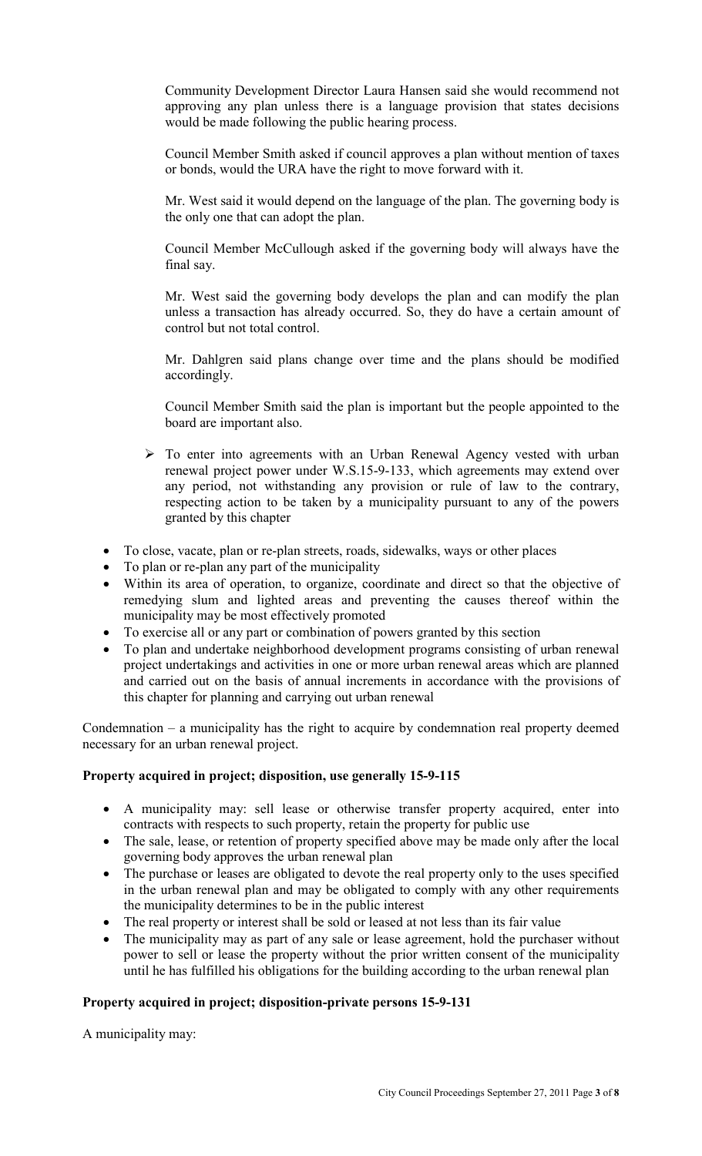Community Development Director Laura Hansen said she would recommend not approving any plan unless there is a language provision that states decisions would be made following the public hearing process.

Council Member Smith asked if council approves a plan without mention of taxes or bonds, would the URA have the right to move forward with it.

Mr. West said it would depend on the language of the plan. The governing body is the only one that can adopt the plan.

Council Member McCullough asked if the governing body will always have the final say.

Mr. West said the governing body develops the plan and can modify the plan unless a transaction has already occurred. So, they do have a certain amount of control but not total control.

Mr. Dahlgren said plans change over time and the plans should be modified accordingly.

Council Member Smith said the plan is important but the people appointed to the board are important also.

- $\triangleright$  To enter into agreements with an Urban Renewal Agency vested with urban renewal project power under W.S.15-9-133, which agreements may extend over any period, not withstanding any provision or rule of law to the contrary, respecting action to be taken by a municipality pursuant to any of the powers granted by this chapter
- To close, vacate, plan or re-plan streets, roads, sidewalks, ways or other places
- To plan or re-plan any part of the municipality
- Within its area of operation, to organize, coordinate and direct so that the objective of remedying slum and lighted areas and preventing the causes thereof within the municipality may be most effectively promoted
- To exercise all or any part or combination of powers granted by this section
- To plan and undertake neighborhood development programs consisting of urban renewal project undertakings and activities in one or more urban renewal areas which are planned and carried out on the basis of annual increments in accordance with the provisions of this chapter for planning and carrying out urban renewal

Condemnation – a municipality has the right to acquire by condemnation real property deemed necessary for an urban renewal project.

### **Property acquired in project; disposition, use generally 15-9-115**

- A municipality may: sell lease or otherwise transfer property acquired, enter into contracts with respects to such property, retain the property for public use
- The sale, lease, or retention of property specified above may be made only after the local governing body approves the urban renewal plan
- The purchase or leases are obligated to devote the real property only to the uses specified in the urban renewal plan and may be obligated to comply with any other requirements the municipality determines to be in the public interest
- The real property or interest shall be sold or leased at not less than its fair value
- The municipality may as part of any sale or lease agreement, hold the purchaser without power to sell or lease the property without the prior written consent of the municipality until he has fulfilled his obligations for the building according to the urban renewal plan

### **Property acquired in project; disposition-private persons 15-9-131**

A municipality may: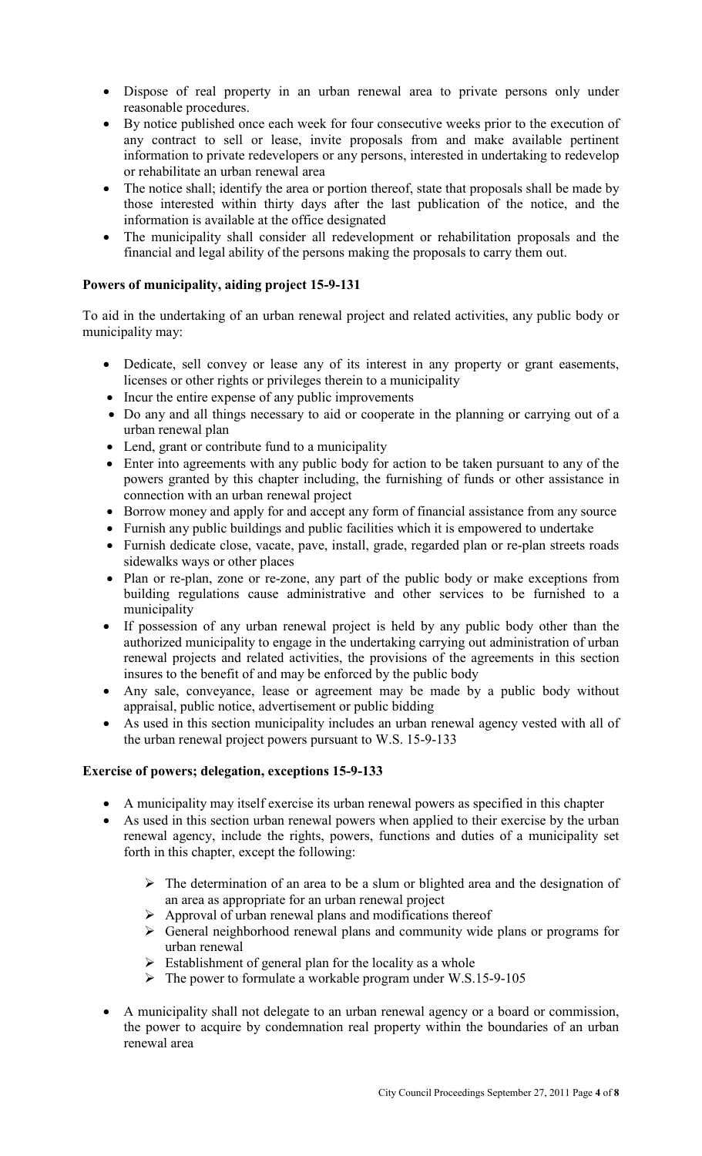- Dispose of real property in an urban renewal area to private persons only under reasonable procedures.
- By notice published once each week for four consecutive weeks prior to the execution of any contract to sell or lease, invite proposals from and make available pertinent information to private redevelopers or any persons, interested in undertaking to redevelop or rehabilitate an urban renewal area
- The notice shall; identify the area or portion thereof, state that proposals shall be made by those interested within thirty days after the last publication of the notice, and the information is available at the office designated
- The municipality shall consider all redevelopment or rehabilitation proposals and the financial and legal ability of the persons making the proposals to carry them out.

# **Powers of municipality, aiding project 15-9-131**

To aid in the undertaking of an urban renewal project and related activities, any public body or municipality may:

- Dedicate, sell convey or lease any of its interest in any property or grant easements, licenses or other rights or privileges therein to a municipality
- Incur the entire expense of any public improvements
- Do any and all things necessary to aid or cooperate in the planning or carrying out of a urban renewal plan
- Lend, grant or contribute fund to a municipality
- Enter into agreements with any public body for action to be taken pursuant to any of the powers granted by this chapter including, the furnishing of funds or other assistance in connection with an urban renewal project
- Borrow money and apply for and accept any form of financial assistance from any source
- Furnish any public buildings and public facilities which it is empowered to undertake
- Furnish dedicate close, vacate, pave, install, grade, regarded plan or re-plan streets roads sidewalks ways or other places
- Plan or re-plan, zone or re-zone, any part of the public body or make exceptions from building regulations cause administrative and other services to be furnished to a municipality
- If possession of any urban renewal project is held by any public body other than the authorized municipality to engage in the undertaking carrying out administration of urban renewal projects and related activities, the provisions of the agreements in this section insures to the benefit of and may be enforced by the public body
- Any sale, conveyance, lease or agreement may be made by a public body without appraisal, public notice, advertisement or public bidding
- As used in this section municipality includes an urban renewal agency vested with all of the urban renewal project powers pursuant to W.S. 15-9-133

### **Exercise of powers; delegation, exceptions 15-9-133**

- A municipality may itself exercise its urban renewal powers as specified in this chapter
- As used in this section urban renewal powers when applied to their exercise by the urban renewal agency, include the rights, powers, functions and duties of a municipality set forth in this chapter, except the following:
	- $\triangleright$  The determination of an area to be a slum or blighted area and the designation of an area as appropriate for an urban renewal project
	- $\triangleright$  Approval of urban renewal plans and modifications thereof
	- General neighborhood renewal plans and community wide plans or programs for urban renewal
	- $\triangleright$  Establishment of general plan for the locality as a whole
	- $\triangleright$  The power to formulate a workable program under W.S.15-9-105
- A municipality shall not delegate to an urban renewal agency or a board or commission, the power to acquire by condemnation real property within the boundaries of an urban renewal area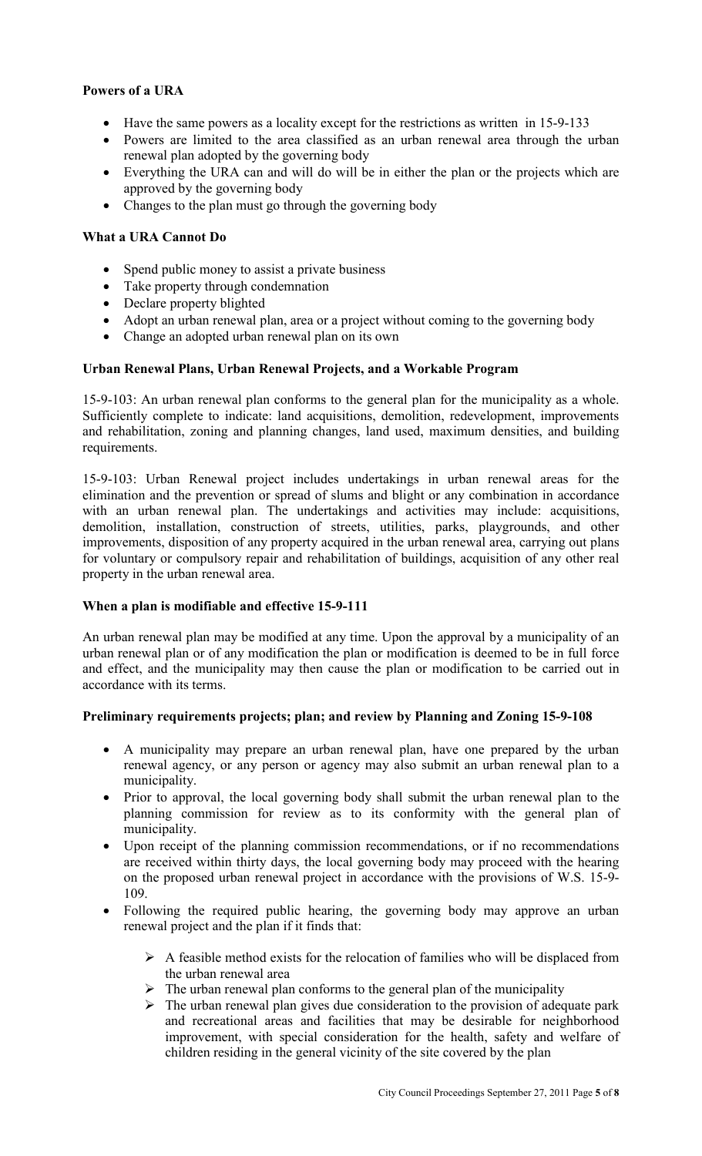## **Powers of a URA**

- Have the same powers as a locality except for the restrictions as written in 15-9-133
- Powers are limited to the area classified as an urban renewal area through the urban renewal plan adopted by the governing body
- Everything the URA can and will do will be in either the plan or the projects which are approved by the governing body
- Changes to the plan must go through the governing body

## **What a URA Cannot Do**

- Spend public money to assist a private business
- Take property through condemnation
- Declare property blighted
- Adopt an urban renewal plan, area or a project without coming to the governing body
- Change an adopted urban renewal plan on its own

## **Urban Renewal Plans, Urban Renewal Projects, and a Workable Program**

15-9-103: An urban renewal plan conforms to the general plan for the municipality as a whole. Sufficiently complete to indicate: land acquisitions, demolition, redevelopment, improvements and rehabilitation, zoning and planning changes, land used, maximum densities, and building requirements.

15-9-103: Urban Renewal project includes undertakings in urban renewal areas for the elimination and the prevention or spread of slums and blight or any combination in accordance with an urban renewal plan. The undertakings and activities may include: acquisitions, demolition, installation, construction of streets, utilities, parks, playgrounds, and other improvements, disposition of any property acquired in the urban renewal area, carrying out plans for voluntary or compulsory repair and rehabilitation of buildings, acquisition of any other real property in the urban renewal area.

# **When a plan is modifiable and effective 15-9-111**

An urban renewal plan may be modified at any time. Upon the approval by a municipality of an urban renewal plan or of any modification the plan or modification is deemed to be in full force and effect, and the municipality may then cause the plan or modification to be carried out in accordance with its terms.

### **Preliminary requirements projects; plan; and review by Planning and Zoning 15-9-108**

- A municipality may prepare an urban renewal plan, have one prepared by the urban renewal agency, or any person or agency may also submit an urban renewal plan to a municipality.
- Prior to approval, the local governing body shall submit the urban renewal plan to the planning commission for review as to its conformity with the general plan of municipality.
- Upon receipt of the planning commission recommendations, or if no recommendations are received within thirty days, the local governing body may proceed with the hearing on the proposed urban renewal project in accordance with the provisions of W.S. 15-9- 109.
- Following the required public hearing, the governing body may approve an urban renewal project and the plan if it finds that:
	- $\triangleright$  A feasible method exists for the relocation of families who will be displaced from the urban renewal area
	- $\triangleright$  The urban renewal plan conforms to the general plan of the municipality
	- $\triangleright$  The urban renewal plan gives due consideration to the provision of adequate park and recreational areas and facilities that may be desirable for neighborhood improvement, with special consideration for the health, safety and welfare of children residing in the general vicinity of the site covered by the plan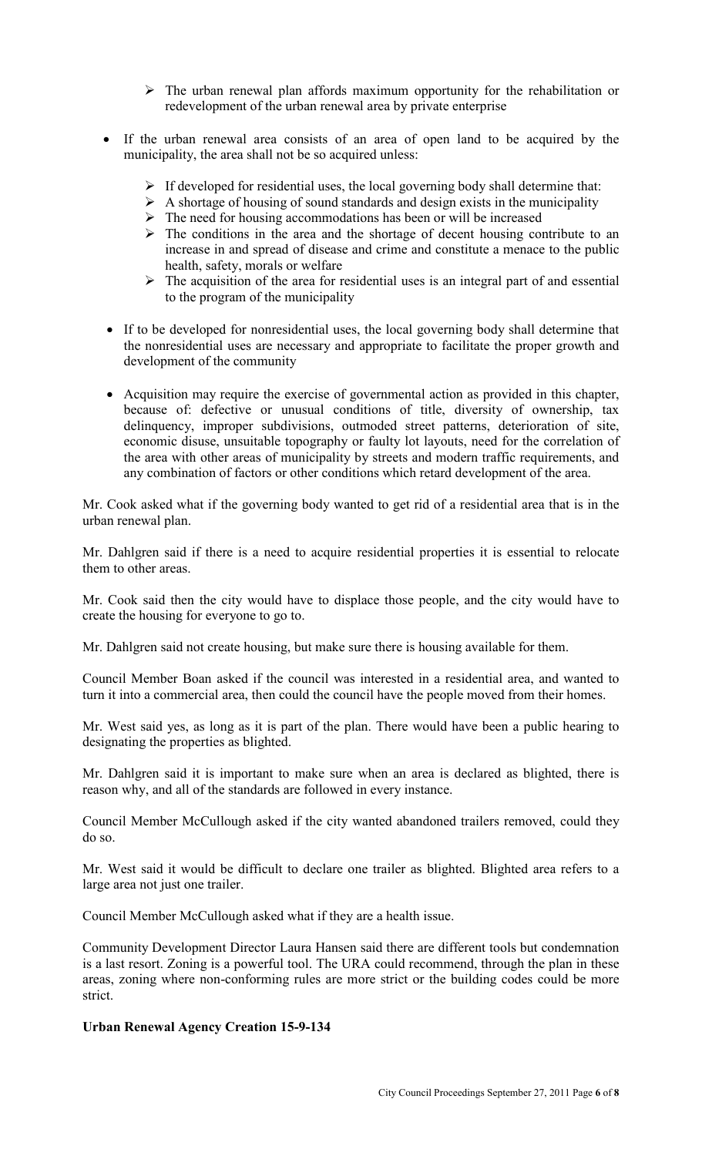- $\triangleright$  The urban renewal plan affords maximum opportunity for the rehabilitation or redevelopment of the urban renewal area by private enterprise
- If the urban renewal area consists of an area of open land to be acquired by the municipality, the area shall not be so acquired unless:
	- $\triangleright$  If developed for residential uses, the local governing body shall determine that:
	- $\triangleright$  A shortage of housing of sound standards and design exists in the municipality
	- $\triangleright$  The need for housing accommodations has been or will be increased
	- $\triangleright$  The conditions in the area and the shortage of decent housing contribute to an increase in and spread of disease and crime and constitute a menace to the public health, safety, morals or welfare
	- $\triangleright$  The acquisition of the area for residential uses is an integral part of and essential to the program of the municipality
- If to be developed for nonresidential uses, the local governing body shall determine that the nonresidential uses are necessary and appropriate to facilitate the proper growth and development of the community
- Acquisition may require the exercise of governmental action as provided in this chapter, because of: defective or unusual conditions of title, diversity of ownership, tax delinquency, improper subdivisions, outmoded street patterns, deterioration of site, economic disuse, unsuitable topography or faulty lot layouts, need for the correlation of the area with other areas of municipality by streets and modern traffic requirements, and any combination of factors or other conditions which retard development of the area.

Mr. Cook asked what if the governing body wanted to get rid of a residential area that is in the urban renewal plan.

Mr. Dahlgren said if there is a need to acquire residential properties it is essential to relocate them to other areas.

Mr. Cook said then the city would have to displace those people, and the city would have to create the housing for everyone to go to.

Mr. Dahlgren said not create housing, but make sure there is housing available for them.

Council Member Boan asked if the council was interested in a residential area, and wanted to turn it into a commercial area, then could the council have the people moved from their homes.

Mr. West said yes, as long as it is part of the plan. There would have been a public hearing to designating the properties as blighted.

Mr. Dahlgren said it is important to make sure when an area is declared as blighted, there is reason why, and all of the standards are followed in every instance.

Council Member McCullough asked if the city wanted abandoned trailers removed, could they do so.

Mr. West said it would be difficult to declare one trailer as blighted. Blighted area refers to a large area not just one trailer.

Council Member McCullough asked what if they are a health issue.

Community Development Director Laura Hansen said there are different tools but condemnation is a last resort. Zoning is a powerful tool. The URA could recommend, through the plan in these areas, zoning where non-conforming rules are more strict or the building codes could be more strict.

# **Urban Renewal Agency Creation 15-9-134**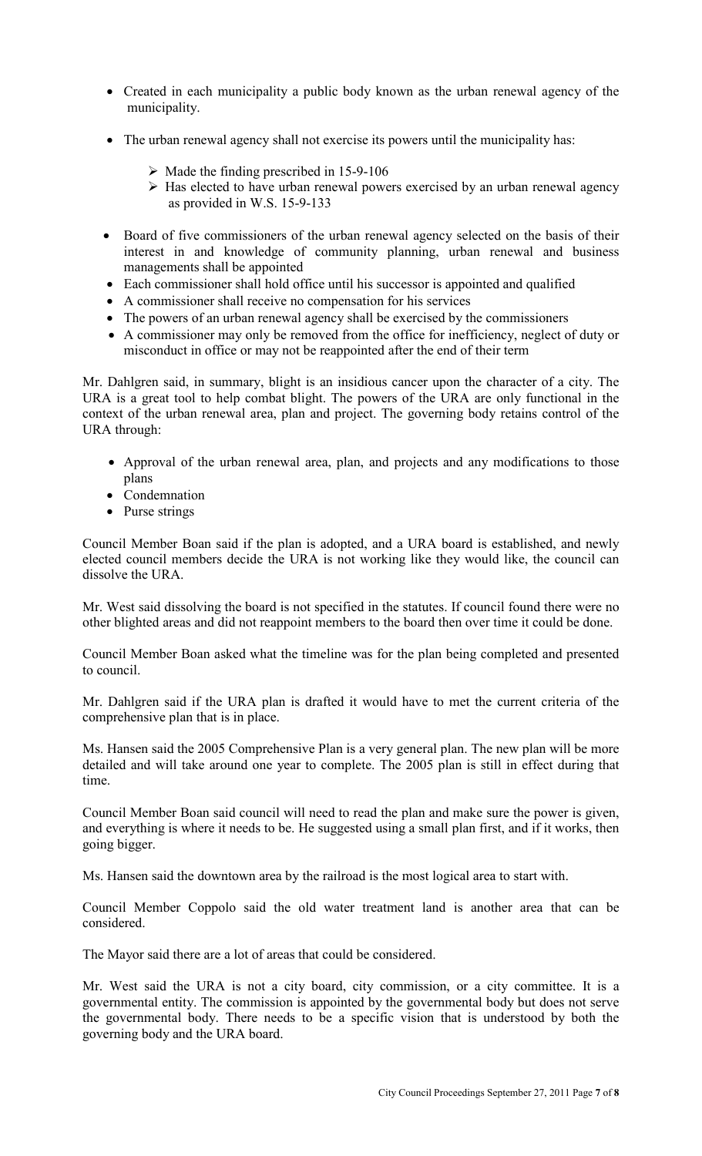- Created in each municipality a public body known as the urban renewal agency of the municipality.
- The urban renewal agency shall not exercise its powers until the municipality has:
	- $\triangleright$  Made the finding prescribed in 15-9-106
	- $\triangleright$  Has elected to have urban renewal powers exercised by an urban renewal agency as provided in W.S. 15-9-133
- Board of five commissioners of the urban renewal agency selected on the basis of their interest in and knowledge of community planning, urban renewal and business managements shall be appointed
- Each commissioner shall hold office until his successor is appointed and qualified
- A commissioner shall receive no compensation for his services
- The powers of an urban renewal agency shall be exercised by the commissioners
- A commissioner may only be removed from the office for inefficiency, neglect of duty or misconduct in office or may not be reappointed after the end of their term

Mr. Dahlgren said, in summary, blight is an insidious cancer upon the character of a city. The URA is a great tool to help combat blight. The powers of the URA are only functional in the context of the urban renewal area, plan and project. The governing body retains control of the URA through:

- Approval of the urban renewal area, plan, and projects and any modifications to those plans
- Condemnation
- Purse strings

Council Member Boan said if the plan is adopted, and a URA board is established, and newly elected council members decide the URA is not working like they would like, the council can dissolve the URA.

Mr. West said dissolving the board is not specified in the statutes. If council found there were no other blighted areas and did not reappoint members to the board then over time it could be done.

Council Member Boan asked what the timeline was for the plan being completed and presented to council.

Mr. Dahlgren said if the URA plan is drafted it would have to met the current criteria of the comprehensive plan that is in place.

Ms. Hansen said the 2005 Comprehensive Plan is a very general plan. The new plan will be more detailed and will take around one year to complete. The 2005 plan is still in effect during that time.

Council Member Boan said council will need to read the plan and make sure the power is given, and everything is where it needs to be. He suggested using a small plan first, and if it works, then going bigger.

Ms. Hansen said the downtown area by the railroad is the most logical area to start with.

Council Member Coppolo said the old water treatment land is another area that can be considered.

The Mayor said there are a lot of areas that could be considered.

Mr. West said the URA is not a city board, city commission, or a city committee. It is a governmental entity. The commission is appointed by the governmental body but does not serve the governmental body. There needs to be a specific vision that is understood by both the governing body and the URA board.